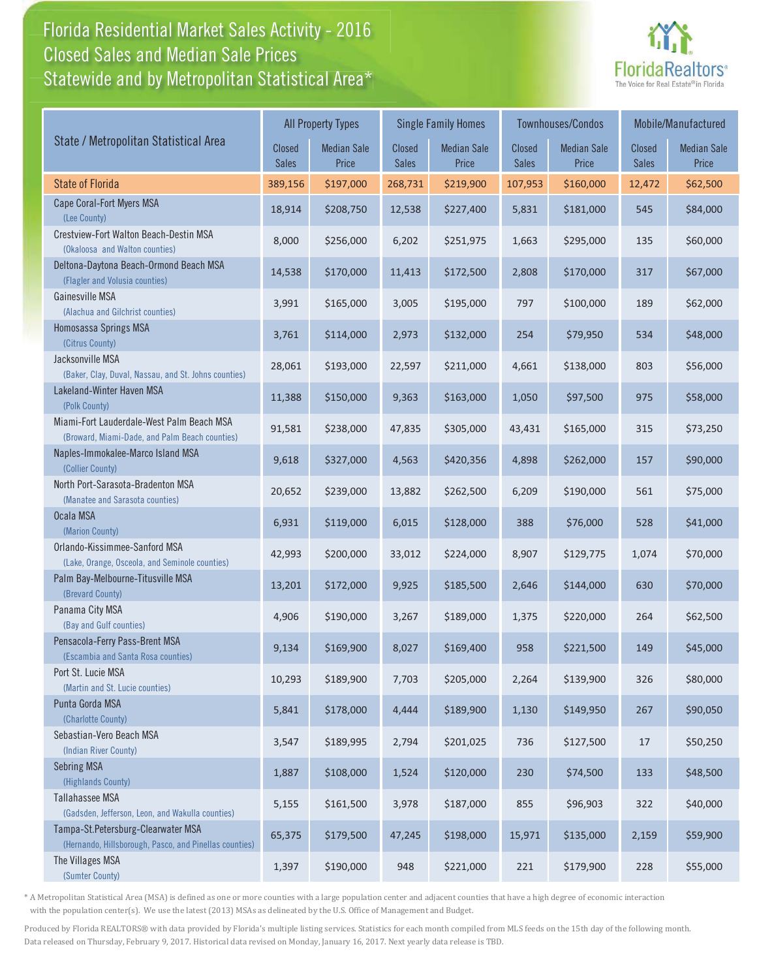## Florida Residential Market Sales Activity - 2016 Florida Residential Market Sales Activity Statewide and by Metropolitan Statistical Area $^{\star}$ Closed Sales and Median Sale Prices



|                                                                                              |                        | <b>All Property Types</b>   |                        | <b>Single Family Homes</b>  |                        | <b>Townhouses/Condos</b>    | Mobile/Manufactured    |                             |
|----------------------------------------------------------------------------------------------|------------------------|-----------------------------|------------------------|-----------------------------|------------------------|-----------------------------|------------------------|-----------------------------|
| State / Metropolitan Statistical Area                                                        | Closed<br><b>Sales</b> | <b>Median Sale</b><br>Price | Closed<br><b>Sales</b> | <b>Median Sale</b><br>Price | Closed<br><b>Sales</b> | <b>Median Sale</b><br>Price | Closed<br><b>Sales</b> | <b>Median Sale</b><br>Price |
| <b>State of Florida</b>                                                                      | 389,156                | \$197,000                   | 268,731                | \$219,900                   | 107,953                | \$160,000                   | 12,472                 | \$62,500                    |
| Cape Coral-Fort Myers MSA<br>(Lee County)                                                    | 18,914                 | \$208,750                   | 12,538                 | \$227,400                   | 5,831                  | \$181,000                   | 545                    | \$84,000                    |
| Crestview-Fort Walton Beach-Destin MSA<br>(Okaloosa and Walton counties)                     | 8,000                  | \$256,000                   | 6,202                  | \$251,975                   | 1,663                  | \$295,000                   | 135                    | \$60,000                    |
| Deltona-Daytona Beach-Ormond Beach MSA<br>(Flagler and Volusia counties)                     | 14,538                 | \$170,000                   | 11,413                 | \$172,500                   | 2,808                  | \$170,000                   | 317                    | \$67,000                    |
| Gainesville MSA<br>(Alachua and Gilchrist counties)                                          | 3,991                  | \$165,000                   | 3,005                  | \$195,000                   | 797                    | \$100,000                   | 189                    | \$62,000                    |
| Homosassa Springs MSA<br>(Citrus County)                                                     | 3,761                  | \$114,000                   | 2,973                  | \$132,000                   | 254                    | \$79,950                    | 534                    | \$48,000                    |
| Jacksonville MSA<br>(Baker, Clay, Duval, Nassau, and St. Johns counties)                     | 28,061                 | \$193,000                   | 22,597                 | \$211,000                   | 4,661                  | \$138,000                   | 803                    | \$56,000                    |
| Lakeland-Winter Haven MSA<br>(Polk County)                                                   | 11,388                 | \$150,000                   | 9,363                  | \$163,000                   | 1,050                  | \$97,500                    | 975                    | \$58,000                    |
| Miami-Fort Lauderdale-West Palm Beach MSA<br>(Broward, Miami-Dade, and Palm Beach counties)  | 91,581                 | \$238,000                   | 47,835                 | \$305,000                   | 43,431                 | \$165,000                   | 315                    | \$73,250                    |
| Naples-Immokalee-Marco Island MSA<br>(Collier County)                                        | 9,618                  | \$327,000                   | 4,563                  | \$420,356                   | 4,898                  | \$262,000                   | 157                    | \$90,000                    |
| North Port-Sarasota-Bradenton MSA<br>(Manatee and Sarasota counties)                         | 20,652                 | \$239,000                   | 13,882                 | \$262,500                   | 6,209                  | \$190,000                   | 561                    | \$75,000                    |
| Ocala MSA<br>(Marion County)                                                                 | 6,931                  | \$119,000                   | 6,015                  | \$128,000                   | 388                    | \$76,000                    | 528                    | \$41,000                    |
| Orlando-Kissimmee-Sanford MSA<br>(Lake, Orange, Osceola, and Seminole counties)              | 42,993                 | \$200,000                   | 33,012                 | \$224,000                   | 8,907                  | \$129,775                   | 1,074                  | \$70,000                    |
| Palm Bay-Melbourne-Titusville MSA<br>(Brevard County)                                        | 13,201                 | \$172,000                   | 9,925                  | \$185,500                   | 2,646                  | \$144,000                   | 630                    | \$70,000                    |
| Panama City MSA<br>(Bay and Gulf counties)                                                   | 4,906                  | \$190,000                   | 3,267                  | \$189,000                   | 1,375                  | \$220,000                   | 264                    | \$62,500                    |
| Pensacola-Ferry Pass-Brent MSA<br>(Escambia and Santa Rosa counties)                         | 9,134                  | \$169,900                   | 8,027                  | \$169,400                   | 958                    | \$221,500                   | 149                    | \$45,000                    |
| Port St. Lucie MSA<br>(Martin and St. Lucie counties)                                        | 10,293                 | \$189,900                   | 7,703                  | \$205,000                   | 2,264                  | \$139,900                   | 326                    | \$80,000                    |
| Punta Gorda MSA<br>(Charlotte County)                                                        | 5,841                  | \$178,000                   | 4,444                  | \$189,900                   | 1,130                  | \$149,950                   | 267                    | \$90,050                    |
| Sebastian-Vero Beach MSA<br>(Indian River County)                                            | 3,547                  | \$189,995                   | 2,794                  | \$201,025                   | 736                    | \$127,500                   | 17                     | \$50,250                    |
| <b>Sebring MSA</b><br>(Highlands County)                                                     | 1,887                  | \$108,000                   | 1,524                  | \$120,000                   | 230                    | \$74,500                    | 133                    | \$48,500                    |
| Tallahassee MSA<br>(Gadsden, Jefferson, Leon, and Wakulla counties)                          | 5,155                  | \$161,500                   | 3,978                  | \$187,000                   | 855                    | \$96,903                    | 322                    | \$40,000                    |
| Tampa-St.Petersburg-Clearwater MSA<br>(Hernando, Hillsborough, Pasco, and Pinellas counties) | 65,375                 | \$179,500                   | 47,245                 | \$198,000                   | 15,971                 | \$135,000                   | 2,159                  | \$59,900                    |
| The Villages MSA<br>(Sumter County)                                                          | 1,397                  | \$190,000                   | 948                    | \$221,000                   | 221                    | \$179,900                   | 228                    | \$55,000                    |

\* A Metropolitan Statistical Area (MSA) is defined as one or more counties with a large population center and adjacent counties that have a high degree of economic interaction with the population center(s). We use the latest (2013) MSAs as delineated by the U.S. Office of Management and Budget.

Produced by Florida REALTORS® with data provided by Florida's multiple listing services. Statistics for each month compiled from MLS feeds on the 15th day of the following month. Data released on Thursday, February 9, 2017. Historical data revised on Monday, January 16, 2017. Next yearly data release is TBD.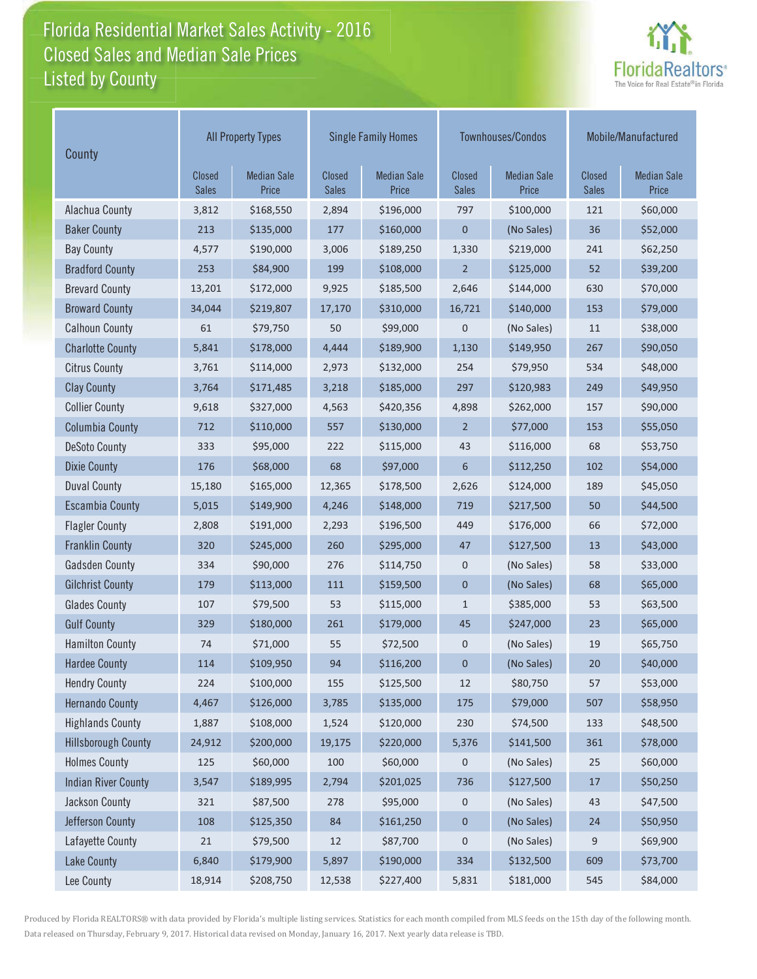## Florida Residential Market Sales Activity - 2016 Florida Residential Market Sales Activity Listed by County Closed Sales and Median Sale Prices



| County                     | <b>All Property Types</b>     |                             |                        | <b>Single Family Homes</b>  |                        | Townhouses/Condos           | Mobile/Manufactured           |                             |
|----------------------------|-------------------------------|-----------------------------|------------------------|-----------------------------|------------------------|-----------------------------|-------------------------------|-----------------------------|
|                            | <b>Closed</b><br><b>Sales</b> | <b>Median Sale</b><br>Price | Closed<br><b>Sales</b> | <b>Median Sale</b><br>Price | Closed<br><b>Sales</b> | <b>Median Sale</b><br>Price | <b>Closed</b><br><b>Sales</b> | <b>Median Sale</b><br>Price |
| Alachua County             | 3,812                         | \$168,550                   | 2,894                  | \$196,000                   | 797                    | \$100,000                   | 121                           | \$60,000                    |
| <b>Baker County</b>        | 213                           | \$135,000                   | 177                    | \$160,000                   | $\mathbf 0$            | (No Sales)                  | 36                            | \$52,000                    |
| <b>Bay County</b>          | 4,577                         | \$190,000                   | 3,006                  | \$189,250                   | 1,330                  | \$219,000                   | 241                           | \$62,250                    |
| <b>Bradford County</b>     | 253                           | \$84,900                    | 199                    | \$108,000                   | $\overline{2}$         | \$125,000                   | 52                            | \$39,200                    |
| <b>Brevard County</b>      | 13,201                        | \$172,000                   | 9,925                  | \$185,500                   | 2,646                  | \$144,000                   | 630                           | \$70,000                    |
| <b>Broward County</b>      | 34,044                        | \$219,807                   | 17,170                 | \$310,000                   | 16,721                 | \$140,000                   | 153                           | \$79,000                    |
| <b>Calhoun County</b>      | 61                            | \$79,750                    | 50                     | \$99,000                    | $\mathbf 0$            | (No Sales)                  | 11                            | \$38,000                    |
| <b>Charlotte County</b>    | 5,841                         | \$178,000                   | 4,444                  | \$189,900                   | 1,130                  | \$149,950                   | 267                           | \$90,050                    |
| <b>Citrus County</b>       | 3,761                         | \$114,000                   | 2,973                  | \$132,000                   | 254                    | \$79,950                    | 534                           | \$48,000                    |
| <b>Clay County</b>         | 3,764                         | \$171,485                   | 3,218                  | \$185,000                   | 297                    | \$120,983                   | 249                           | \$49,950                    |
| <b>Collier County</b>      | 9,618                         | \$327,000                   | 4,563                  | \$420,356                   | 4,898                  | \$262,000                   | 157                           | \$90,000                    |
| <b>Columbia County</b>     | 712                           | \$110,000                   | 557                    | \$130,000                   | $\overline{2}$         | \$77,000                    | 153                           | \$55,050                    |
| <b>DeSoto County</b>       | 333                           | \$95,000                    | 222                    | \$115,000                   | 43                     | \$116,000                   | 68                            | \$53,750                    |
| <b>Dixie County</b>        | 176                           | \$68,000                    | 68                     | \$97,000                    | 6                      | \$112,250                   | 102                           | \$54,000                    |
| <b>Duval County</b>        | 15,180                        | \$165,000                   | 12,365                 | \$178,500                   | 2,626                  | \$124,000                   | 189                           | \$45,050                    |
| <b>Escambia County</b>     | 5,015                         | \$149,900                   | 4,246                  | \$148,000                   | 719                    | \$217,500                   | 50                            | \$44,500                    |
| <b>Flagler County</b>      | 2,808                         | \$191,000                   | 2,293                  | \$196,500                   | 449                    | \$176,000                   | 66                            | \$72,000                    |
| <b>Franklin County</b>     | 320                           | \$245,000                   | 260                    | \$295,000                   | 47                     | \$127,500                   | 13                            | \$43,000                    |
| <b>Gadsden County</b>      | 334                           | \$90,000                    | 276                    | \$114,750                   | $\mathbf 0$            | (No Sales)                  | 58                            | \$33,000                    |
| <b>Gilchrist County</b>    | 179                           | \$113,000                   | 111                    | \$159,500                   | $\mathbf{0}$           | (No Sales)                  | 68                            | \$65,000                    |
| <b>Glades County</b>       | 107                           | \$79,500                    | 53                     | \$115,000                   | $\mathbf{1}$           | \$385,000                   | 53                            | \$63,500                    |
| <b>Gulf County</b>         | 329                           | \$180,000                   | 261                    | \$179,000                   | 45                     | \$247,000                   | 23                            | \$65,000                    |
| <b>Hamilton County</b>     | 74                            | \$71,000                    | 55                     | \$72,500                    | $\mathbf 0$            | (No Sales)                  | 19                            | \$65,750                    |
| <b>Hardee County</b>       | 114                           | \$109,950                   | 94                     | \$116,200                   | $\mathbf 0$            | (No Sales)                  | 20                            | \$40,000                    |
| <b>Hendry County</b>       | 224                           | \$100,000                   | 155                    | \$125,500                   | 12                     | \$80,750                    | 57                            | \$53,000                    |
| <b>Hernando County</b>     | 4,467                         | \$126,000                   | 3,785                  | \$135,000                   | 175                    | \$79,000                    | 507                           | \$58,950                    |
| <b>Highlands County</b>    | 1,887                         | \$108,000                   | 1,524                  | \$120,000                   | 230                    | \$74,500                    | 133                           | \$48,500                    |
| <b>Hillsborough County</b> | 24,912                        | \$200,000                   | 19,175                 | \$220,000                   | 5,376                  | \$141,500                   | 361                           | \$78,000                    |
| <b>Holmes County</b>       | 125                           | \$60,000                    | 100                    | \$60,000                    | 0                      | (No Sales)                  | 25                            | \$60,000                    |
| <b>Indian River County</b> | 3,547                         | \$189,995                   | 2,794                  | \$201,025                   | 736                    | \$127,500                   | $17\,$                        | \$50,250                    |
| Jackson County             | 321                           | \$87,500                    | 278                    | \$95,000                    | 0                      | (No Sales)                  | 43                            | \$47,500                    |
| Jefferson County           | 108                           | \$125,350                   | 84                     | \$161,250                   | $\pmb{0}$              | (No Sales)                  | 24                            | \$50,950                    |
| Lafayette County           | 21                            | \$79,500                    | 12                     | \$87,700                    | $\mathbf 0$            | (No Sales)                  | 9                             | \$69,900                    |
| <b>Lake County</b>         | 6,840                         | \$179,900                   | 5,897                  | \$190,000                   | 334                    | \$132,500                   | 609                           | \$73,700                    |
| Lee County                 | 18,914                        | \$208,750                   | 12,538                 | \$227,400                   | 5,831                  | \$181,000                   | 545                           | \$84,000                    |

Produced by Florida REALTORS® with data provided by Florida's multiple listing services. Statistics for each month compiled from MLS feeds on the 15th day of the following month. Data released on Thursday, February 9, 2017. Historical data revised on Monday, January 16, 2017. Next yearly data release is TBD.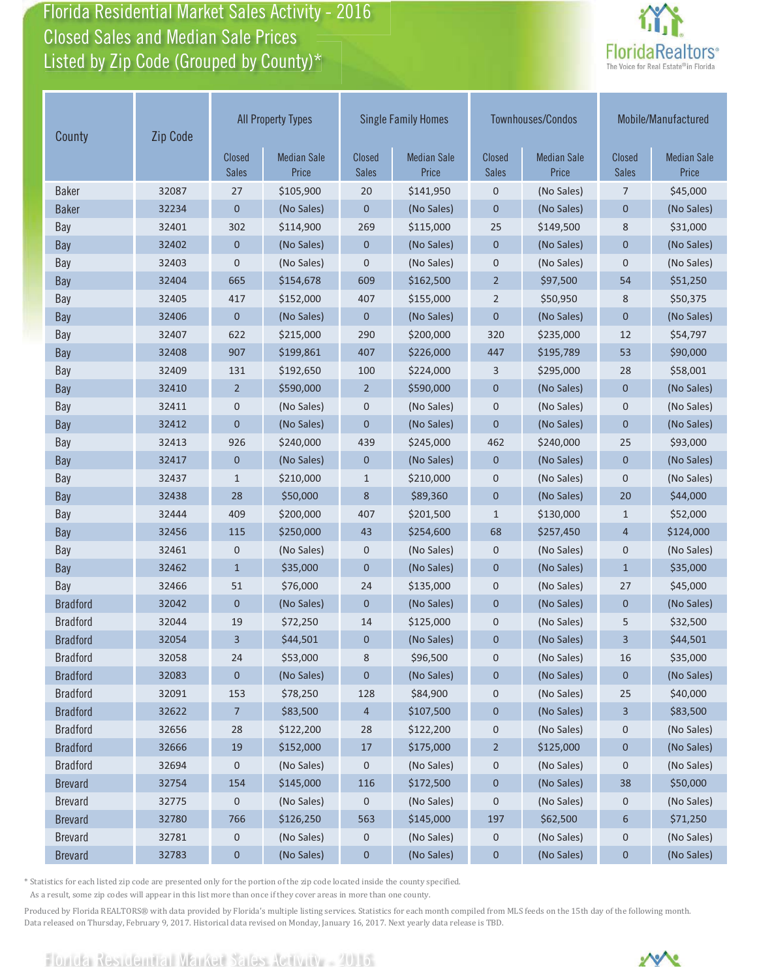Florida Residential Market Sales Activity - 2016 Florida Residential Market Sales Activity Closed Sales and Median Sale Prices<br>Listed by Zip Code (Grouped by County)\*



| County          | Zip Code | <b>All Property Types</b> |                             | <b>Single Family Homes</b>    |                             | Townhouses/Condos             |                             | Mobile/Manufactured           |                             |
|-----------------|----------|---------------------------|-----------------------------|-------------------------------|-----------------------------|-------------------------------|-----------------------------|-------------------------------|-----------------------------|
|                 |          | Closed<br>Sales           | <b>Median Sale</b><br>Price | <b>Closed</b><br><b>Sales</b> | <b>Median Sale</b><br>Price | <b>Closed</b><br><b>Sales</b> | <b>Median Sale</b><br>Price | <b>Closed</b><br><b>Sales</b> | <b>Median Sale</b><br>Price |
| <b>Baker</b>    | 32087    | 27                        | \$105,900                   | 20                            | \$141,950                   | $\mathbf 0$                   | (No Sales)                  | 7                             | \$45,000                    |
| <b>Baker</b>    | 32234    | $\mathbf 0$               | (No Sales)                  | $\mathbf 0$                   | (No Sales)                  | $\mathbf 0$                   | (No Sales)                  | $\mathbf{0}$                  | (No Sales)                  |
| Bay             | 32401    | 302                       | \$114,900                   | 269                           | \$115,000                   | 25                            | \$149,500                   | 8                             | \$31,000                    |
| Bay             | 32402    | 0                         | (No Sales)                  | $\mathbf 0$                   | (No Sales)                  | $\mathbf 0$                   | (No Sales)                  | $\mathbf 0$                   | (No Sales)                  |
| Bay             | 32403    | $\mathbf 0$               | (No Sales)                  | 0                             | (No Sales)                  | $\mathbf 0$                   | (No Sales)                  | $\mathbf 0$                   | (No Sales)                  |
| Bay             | 32404    | 665                       | \$154,678                   | 609                           | \$162,500                   | $\overline{2}$                | \$97,500                    | 54                            | \$51,250                    |
| Bay             | 32405    | 417                       | \$152,000                   | 407                           | \$155,000                   | $\overline{2}$                | \$50,950                    | 8                             | \$50,375                    |
| Bay             | 32406    | $\mathbf 0$               | (No Sales)                  | $\mathbf 0$                   | (No Sales)                  | $\mathbf 0$                   | (No Sales)                  | $\mathbf 0$                   | (No Sales)                  |
| Bay             | 32407    | 622                       | \$215,000                   | 290                           | \$200,000                   | 320                           | \$235,000                   | 12                            | \$54,797                    |
| Bay             | 32408    | 907                       | \$199,861                   | 407                           | \$226,000                   | 447                           | \$195,789                   | 53                            | \$90,000                    |
| Bay             | 32409    | 131                       | \$192,650                   | 100                           | \$224,000                   | 3                             | \$295,000                   | 28                            | \$58,001                    |
| Bay             | 32410    | $\overline{2}$            | \$590,000                   | $\overline{2}$                | \$590,000                   | $\mathbf 0$                   | (No Sales)                  | $\mathbf{0}$                  | (No Sales)                  |
| Bay             | 32411    | 0                         | (No Sales)                  | 0                             | (No Sales)                  | $\mathbf 0$                   | (No Sales)                  | $\mathbf 0$                   | (No Sales)                  |
| Bay             | 32412    | $\overline{0}$            | (No Sales)                  | $\mathbf 0$                   | (No Sales)                  | $\mathbf{0}$                  | (No Sales)                  | $\mathbf{0}$                  | (No Sales)                  |
| Bay             | 32413    | 926                       | \$240,000                   | 439                           | \$245,000                   | 462                           | \$240,000                   | 25                            | \$93,000                    |
| Bay             | 32417    | $\mathbf{0}$              | (No Sales)                  | 0                             | (No Sales)                  | $\mathbf{0}$                  | (No Sales)                  | $\mathbf{0}$                  | (No Sales)                  |
| Bay             | 32437    | $\mathbf{1}$              | \$210,000                   | $\mathbf{1}$                  | \$210,000                   | $\mathbf 0$                   | (No Sales)                  | $\mathbf 0$                   | (No Sales)                  |
| Bay             | 32438    | 28                        | \$50,000                    | 8                             | \$89,360                    | $\mathbf 0$                   | (No Sales)                  | 20                            | \$44,000                    |
| Bay             | 32444    | 409                       | \$200,000                   | 407                           | \$201,500                   | $\mathbf{1}$                  | \$130,000                   | $\mathbf{1}$                  | \$52,000                    |
| Bay             | 32456    | 115                       | \$250,000                   | 43                            | \$254,600                   | 68                            | \$257,450                   | $\overline{4}$                | \$124,000                   |
| Bay             | 32461    | 0                         | (No Sales)                  | 0                             | (No Sales)                  | 0                             | (No Sales)                  | $\mathbf 0$                   | (No Sales)                  |
| Bay             | 32462    | $\mathbf{1}$              | \$35,000                    | $\overline{0}$                | (No Sales)                  | $\mathbf{0}$                  | (No Sales)                  | $\mathbf{1}$                  | \$35,000                    |
| Bay             | 32466    | 51                        | \$76,000                    | 24                            | \$135,000                   | $\mathbf 0$                   | (No Sales)                  | 27                            | \$45,000                    |
| <b>Bradford</b> | 32042    | $\mathbf{0}$              | (No Sales)                  | $\mathbf{0}$                  | (No Sales)                  | $\mathbf{0}$                  | (No Sales)                  | $\mathbf{0}$                  | (No Sales)                  |
| <b>Bradford</b> | 32044    | 19                        | \$72,250                    | 14                            | \$125,000                   | $\mathbf 0$                   | (No Sales)                  | 5                             | \$32,500                    |
| <b>Bradford</b> | 32054    | 3                         | \$44,501                    | 0                             | (No Sales)                  | $\pmb{0}$                     | (No Sales)                  | 3                             | \$44,501                    |
| <b>Bradford</b> | 32058    | 24                        | \$53,000                    | 8                             | \$96,500                    | 0                             | (No Sales)                  | 16                            | \$35,000                    |
| <b>Bradford</b> | 32083    | 0                         | (No Sales)                  | 0                             | (No Sales)                  | $\boldsymbol{0}$              | (No Sales)                  | 0                             | (No Sales)                  |
| <b>Bradford</b> | 32091    | 153                       | \$78,250                    | 128                           | \$84,900                    | 0                             | (No Sales)                  | 25                            | \$40,000                    |
| <b>Bradford</b> | 32622    | $\overline{7}$            | \$83,500                    | 4                             | \$107,500                   | $\boldsymbol{0}$              | (No Sales)                  | 3                             | \$83,500                    |
| <b>Bradford</b> | 32656    | 28                        | \$122,200                   | 28                            | \$122,200                   | $\boldsymbol{0}$              | (No Sales)                  | $\boldsymbol{0}$              | (No Sales)                  |
| <b>Bradford</b> | 32666    | 19                        | \$152,000                   | 17                            | \$175,000                   | $\overline{2}$                | \$125,000                   | $\mathbf 0$                   | (No Sales)                  |
| <b>Bradford</b> | 32694    | 0                         | (No Sales)                  | 0                             | (No Sales)                  | $\boldsymbol{0}$              | (No Sales)                  | 0                             | (No Sales)                  |
| <b>Brevard</b>  | 32754    | 154                       | \$145,000                   | 116                           | \$172,500                   | $\pmb{0}$                     | (No Sales)                  | 38                            | \$50,000                    |
| <b>Brevard</b>  | 32775    | 0                         | (No Sales)                  | 0                             | (No Sales)                  | 0                             | (No Sales)                  | 0                             | (No Sales)                  |
| <b>Brevard</b>  | 32780    | 766                       | \$126,250                   | 563                           | \$145,000                   | 197                           | \$62,500                    | 6                             | \$71,250                    |
| <b>Brevard</b>  | 32781    | 0                         | (No Sales)                  | 0                             | (No Sales)                  | $\boldsymbol{0}$              | (No Sales)                  | 0                             | (No Sales)                  |
| <b>Brevard</b>  | 32783    | $\bf{0}$                  | (No Sales)                  | $\pmb{0}$                     | (No Sales)                  | $\pmb{0}$                     | (No Sales)                  | $\mathbf 0$                   | (No Sales)                  |

\* Statistics for each listed zip code are presented only for the portion of the zip code located inside the county specified.

As a result, some zip codes will appear in this list more than once if they cover areas in more than one county.

Produced by Florida REALTORS® with data provided by Florida's multiple listing services. Statistics for each month compiled from MLS feeds on the 15th day of the following month. Data released on Thursday, February 9, 2017. Historical data revised on Monday, January 16, 2017. Next yearly data release is TBD.

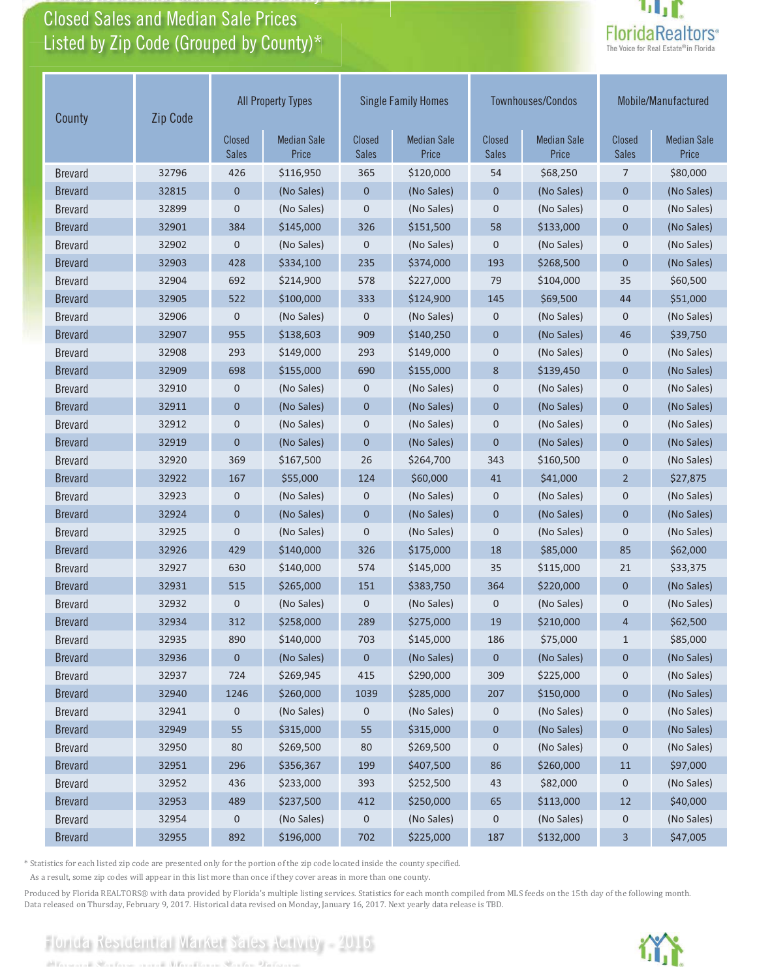# Closed Sales and Median Sale Prices<br>Listed by Zip Code (Grouped by County)\*

Florida Residential Market Sales Activity

Florida Residential Market Sales Activity 2016



| County         | Zip Code | <b>All Property Types</b> |                             |                        | <b>Single Family Homes</b>  |                               | Townhouses/Condos           | Mobile/Manufactured    |                             |
|----------------|----------|---------------------------|-----------------------------|------------------------|-----------------------------|-------------------------------|-----------------------------|------------------------|-----------------------------|
|                |          | Closed<br><b>Sales</b>    | <b>Median Sale</b><br>Price | Closed<br><b>Sales</b> | <b>Median Sale</b><br>Price | <b>Closed</b><br><b>Sales</b> | <b>Median Sale</b><br>Price | Closed<br><b>Sales</b> | <b>Median Sale</b><br>Price |
| <b>Brevard</b> | 32796    | 426                       | \$116,950                   | 365                    | \$120,000                   | 54                            | \$68,250                    | 7                      | \$80,000                    |
| <b>Brevard</b> | 32815    | $\mathbf{0}$              | (No Sales)                  | $\mathbf 0$            | (No Sales)                  | $\mathbf 0$                   | (No Sales)                  | $\mathbf 0$            | (No Sales)                  |
| <b>Brevard</b> | 32899    | $\mathbf 0$               | (No Sales)                  | $\mathbf 0$            | (No Sales)                  | $\mathbf{0}$                  | (No Sales)                  | $\mathbf 0$            | (No Sales)                  |
| <b>Brevard</b> | 32901    | 384                       | \$145,000                   | 326                    | \$151,500                   | 58                            | \$133,000                   | $\overline{0}$         | (No Sales)                  |
| <b>Brevard</b> | 32902    | 0                         | (No Sales)                  | 0                      | (No Sales)                  | $\mathbf 0$                   | (No Sales)                  | $\mathbf 0$            | (No Sales)                  |
| <b>Brevard</b> | 32903    | 428                       | \$334,100                   | 235                    | \$374,000                   | 193                           | \$268,500                   | $\mathbf{0}$           | (No Sales)                  |
| <b>Brevard</b> | 32904    | 692                       | \$214,900                   | 578                    | \$227,000                   | 79                            | \$104,000                   | 35                     | \$60,500                    |
| <b>Brevard</b> | 32905    | 522                       | \$100,000                   | 333                    | \$124,900                   | 145                           | \$69,500                    | 44                     | \$51,000                    |
| <b>Brevard</b> | 32906    | $\mathbf 0$               | (No Sales)                  | $\mathbf 0$            | (No Sales)                  | $\mathbf 0$                   | (No Sales)                  | $\mathbf 0$            | (No Sales)                  |
| <b>Brevard</b> | 32907    | 955                       | \$138,603                   | 909                    | \$140,250                   | $\mathbf 0$                   | (No Sales)                  | 46                     | \$39,750                    |
| <b>Brevard</b> | 32908    | 293                       | \$149,000                   | 293                    | \$149,000                   | $\mathbf 0$                   | (No Sales)                  | $\mathbf 0$            | (No Sales)                  |
| <b>Brevard</b> | 32909    | 698                       | \$155,000                   | 690                    | \$155,000                   | 8                             | \$139,450                   | $\overline{0}$         | (No Sales)                  |
| <b>Brevard</b> | 32910    | 0                         | (No Sales)                  | $\mathbf 0$            | (No Sales)                  | $\mathbf 0$                   | (No Sales)                  | $\mathbf 0$            | (No Sales)                  |
| <b>Brevard</b> | 32911    | $\mathbf 0$               | (No Sales)                  | $\mathbf 0$            | (No Sales)                  | $\mathbf 0$                   | (No Sales)                  | $\mathbf 0$            | (No Sales)                  |
| <b>Brevard</b> | 32912    | 0                         | (No Sales)                  | 0                      | (No Sales)                  | $\mathbf 0$                   | (No Sales)                  | $\mathbf 0$            | (No Sales)                  |
| <b>Brevard</b> | 32919    | $\overline{0}$            | (No Sales)                  | $\overline{0}$         | (No Sales)                  | $\mathbf{0}$                  | (No Sales)                  | $\overline{0}$         | (No Sales)                  |
| <b>Brevard</b> | 32920    | 369                       | \$167,500                   | 26                     | \$264,700                   | 343                           | \$160,500                   | $\mathbf 0$            | (No Sales)                  |
| <b>Brevard</b> | 32922    | 167                       | \$55,000                    | 124                    | \$60,000                    | 41                            | \$41,000                    | $\overline{2}$         | \$27,875                    |
| <b>Brevard</b> | 32923    | 0                         | (No Sales)                  | 0                      | (No Sales)                  | 0                             | (No Sales)                  | $\mathbf 0$            | (No Sales)                  |
| <b>Brevard</b> | 32924    | $\mathbf 0$               | (No Sales)                  | $\mathbf 0$            | (No Sales)                  | $\mathbf 0$                   | (No Sales)                  | $\mathbf{0}$           | (No Sales)                  |
| <b>Brevard</b> | 32925    | 0                         | (No Sales)                  | 0                      | (No Sales)                  | $\mathbf 0$                   | (No Sales)                  | $\mathbf 0$            | (No Sales)                  |
| <b>Brevard</b> | 32926    | 429                       | \$140,000                   | 326                    | \$175,000                   | 18                            | \$85,000                    | 85                     | \$62,000                    |
| <b>Brevard</b> | 32927    | 630                       | \$140,000                   | 574                    | \$145,000                   | 35                            | \$115,000                   | 21                     | \$33,375                    |
| <b>Brevard</b> | 32931    | 515                       | \$265,000                   | 151                    | \$383,750                   | 364                           | \$220,000                   | $\mathbf 0$            | (No Sales)                  |
| <b>Brevard</b> | 32932    | $\mathbf 0$               | (No Sales)                  | $\mathbf 0$            | (No Sales)                  | $\mathbf 0$                   | (No Sales)                  | $\mathbf 0$            | (No Sales)                  |
| <b>Brevard</b> | 32934    | 312                       | \$258,000                   | 289                    | \$275,000                   | 19                            | \$210,000                   | $\overline{4}$         | \$62,500                    |
| <b>Brevard</b> | 32935    | 890                       | \$140,000                   | 703                    | \$145,000                   | 186                           | \$75,000                    | $\mathbf{1}$           | \$85,000                    |
| <b>Brevard</b> | 32936    | $\mathbf 0$               | (No Sales)                  | $\pmb{0}$              | (No Sales)                  | $\mathbf 0$                   | (No Sales)                  | $\pmb{0}$              | (No Sales)                  |
| <b>Brevard</b> | 32937    | 724                       | \$269,945                   | 415                    | \$290,000                   | 309                           | \$225,000                   | $\mathbf 0$            | (No Sales)                  |
| <b>Brevard</b> | 32940    | 1246                      | \$260,000                   | 1039                   | \$285,000                   | 207                           | \$150,000                   | $\pmb{0}$              | (No Sales)                  |
| <b>Brevard</b> | 32941    | 0                         | (No Sales)                  | 0                      | (No Sales)                  | 0                             | (No Sales)                  | 0                      | (No Sales)                  |
| <b>Brevard</b> | 32949    | 55                        | \$315,000                   | 55                     | \$315,000                   | $\pmb{0}$                     | (No Sales)                  | $\pmb{0}$              | (No Sales)                  |
| <b>Brevard</b> | 32950    | 80                        | \$269,500                   | 80                     | \$269,500                   | 0                             | (No Sales)                  | $\boldsymbol{0}$       | (No Sales)                  |
| <b>Brevard</b> | 32951    | 296                       | \$356,367                   | 199                    | \$407,500                   | 86                            | \$260,000                   | $11\,$                 | \$97,000                    |
| <b>Brevard</b> | 32952    | 436                       | \$233,000                   | 393                    | \$252,500                   | 43                            | \$82,000                    | 0                      | (No Sales)                  |
| <b>Brevard</b> | 32953    | 489                       | \$237,500                   | 412                    | \$250,000                   | 65                            | \$113,000                   | 12                     | \$40,000                    |
| <b>Brevard</b> | 32954    | 0                         | (No Sales)                  | 0                      | (No Sales)                  | 0                             | (No Sales)                  | 0                      | (No Sales)                  |
| <b>Brevard</b> | 32955    | 892                       | \$196,000                   | 702                    | \$225,000                   | 187                           | \$132,000                   | 3                      | \$47,005                    |

\* Statistics for each listed zip code are presented only for the portion of the zip code located inside the county specified.

As a result, some zip codes will appear in this list more than once if they cover areas in more than one county.

Produced by Florida REALTORS® with data provided by Florida's multiple listing services. Statistics for each month compiled from MLS feeds on the 15th day of the following month. Data released on Thursday, February 9, 2017. Historical data revised on Monday, January 16, 2017. Next yearly data release is TBD.

# Florida Residential Market Sales Activity - 2016